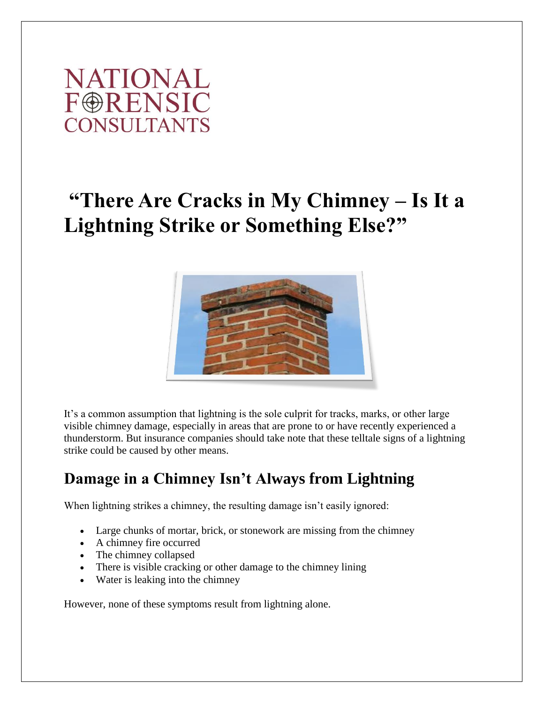

# **"There Are Cracks in My Chimney – Is It a Lightning Strike or Something Else?"**



It's a common assumption that lightning is the sole culprit for tracks, marks, or other large visible chimney damage, especially in areas that are prone to or have recently experienced a thunderstorm. But insurance companies should take note that these telltale signs of a lightning strike could be caused by other means.

### **Damage in a Chimney Isn't Always from Lightning**

When lightning strikes a chimney, the resulting damage isn't easily ignored:

- Large chunks of mortar, brick, or stonework are missing from the chimney
- A chimney fire occurred
- The chimney collapsed
- There is visible cracking or other damage to the chimney lining
- Water is leaking into the chimney

However, none of these symptoms result from lightning alone.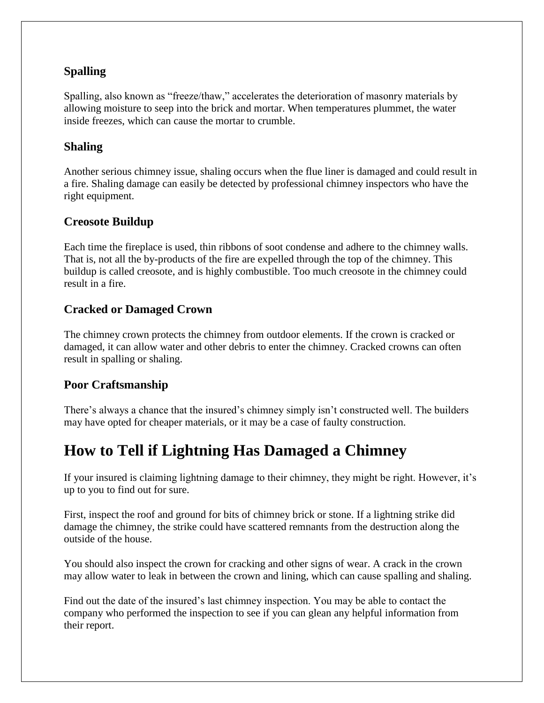#### **Spalling**

Spalling, also known as "freeze/thaw," accelerates the deterioration of masonry materials by allowing moisture to seep into the brick and mortar. When temperatures plummet, the water inside freezes, which can cause the mortar to crumble.

#### **Shaling**

Another serious chimney issue, shaling occurs when the flue liner is damaged and could result in a fire. Shaling damage can easily be detected by professional chimney inspectors who have the right equipment.

#### **Creosote Buildup**

Each time the fireplace is used, thin ribbons of soot condense and adhere to the chimney walls. That is, not all the by-products of the fire are expelled through the top of the chimney. This buildup is called creosote, and is highly combustible. Too much creosote in the chimney could result in a fire.

#### **Cracked or Damaged Crown**

The chimney crown protects the chimney from outdoor elements. If the crown is cracked or damaged, it can allow water and other debris to enter the chimney. Cracked crowns can often result in spalling or shaling.

#### **Poor Craftsmanship**

There's always a chance that the insured's chimney simply isn't constructed well. The builders may have opted for cheaper materials, or it may be a case of faulty construction.

### **How to Tell if Lightning Has Damaged a Chimney**

If your insured is claiming lightning damage to their chimney, they might be right. However, it's up to you to find out for sure.

First, inspect the roof and ground for bits of chimney brick or stone. If a lightning strike did damage the chimney, the strike could have scattered remnants from the destruction along the outside of the house.

You should also inspect the crown for cracking and other signs of wear. A crack in the crown may allow water to leak in between the crown and lining, which can cause spalling and shaling.

Find out the date of the insured's last chimney inspection. You may be able to contact the company who performed the inspection to see if you can glean any helpful information from their report.